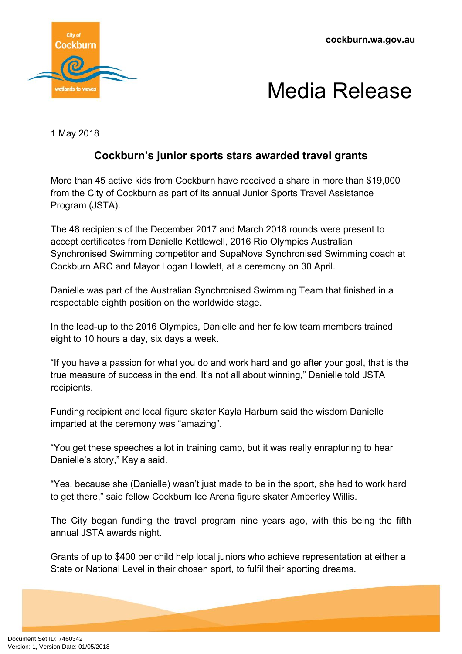**cockburn.wa.gov.au**





1 May 2018

## **Cockburn's junior sports stars awarded travel grants**

More than 45 active kids from Cockburn have received a share in more than \$19,000 from the City of Cockburn as part of its annual Junior Sports Travel Assistance Program (JSTA).

The 48 recipients of the December 2017 and March 2018 rounds were present to accept certificates from Danielle Kettlewell, 2016 Rio Olympics Australian Synchronised Swimming competitor and SupaNova Synchronised Swimming coach at Cockburn ARC and Mayor Logan Howlett, at a ceremony on 30 April.

Danielle was part of the Australian Synchronised Swimming Team that finished in a respectable eighth position on the worldwide stage.

In the lead-up to the 2016 Olympics, Danielle and her fellow team members trained eight to 10 hours a day, six days a week.

"If you have a passion for what you do and work hard and go after your goal, that is the true measure of success in the end. It's not all about winning," Danielle told JSTA recipients.

Funding recipient and local figure skater Kayla Harburn said the wisdom Danielle imparted at the ceremony was "amazing".

"You get these speeches a lot in training camp, but it was really enrapturing to hear Danielle's story," Kayla said.

"Yes, because she (Danielle) wasn't just made to be in the sport, she had to work hard to get there," said fellow Cockburn Ice Arena figure skater Amberley Willis.

The City began funding the travel program nine years ago, with this being the fifth annual JSTA awards night.

Grants of up to \$400 per child help local juniors who achieve representation at either a State or National Level in their chosen sport, to fulfil their sporting dreams.

Document Set ID: 7460342<br>Version: 1, Version Date: 01/05/2018